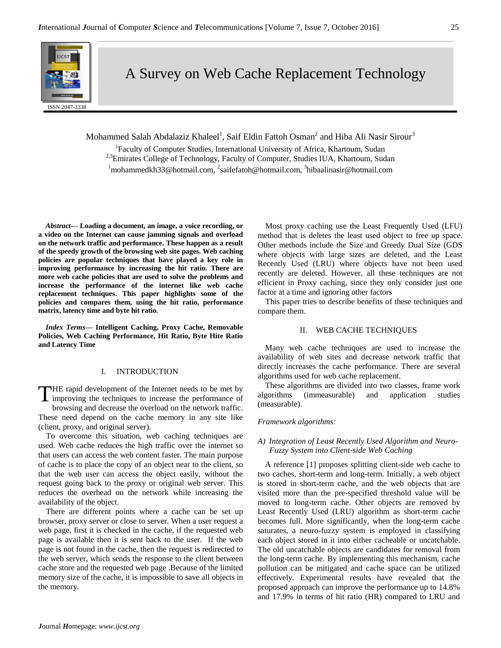

A Survey on Web Cache Replacement Technology

Mohammed Salah Abdalaziz Khaleel<sup>1</sup>, Saif Eldin Fattoh Osman<sup>2</sup> and Hiba Ali Nasir Sirour<sup>3</sup>

<sup>1</sup>Faculty of Computer Studies, International University of Africa, Khartoum, Sudan <sup>2,3</sup>Emirates College of Technology, Faculty of Computer, Studies IUA, Khartoum, Sudan  $1$ mohammedkh33@hotmail.com,  $2$ saifefatoh@hotmail.com,  $3$ hibaalinasir@hotmail.com

*Abstract—* **Loading a document, an image, a voice recording, or a video on the Internet can cause jamming signals and overload on the network traffic and performance. These happen as a result of the speedy growth of the browsing web site pages. Web caching policies are popular techniques that have played a key role in improving performance by increasing the hit ratio. There are more web cache policies that are used to solve the problems and increase the performance of the internet like web cache replacement techniques. This paper highlights some of the policies and compares them, using the hit ratio, performance matrix, latency time and byte hit ratio.**

*Index Terms—* **Intelligent Caching, Proxy Cache, Removable Policies, Web Caching Performance, Hit Ratio, Byte Hite Ratio and Latency Time**

#### I. INTRODUCTION

HE rapid development of the Internet needs to be met by THE rapid development of the Internet needs to be met by improving the techniques to increase the performance of browsing and decrease the overload on the network traffic. These need depend on the cache memory in any site like (client, proxy, and original server).

To overcome this situation, web caching techniques are used. Web cache reduces the high traffic over the internet so that users can access the web content faster. The main purpose of cache is to place the copy of an object near to the client, so that the web user can access the object easily, without the request going back to the proxy or original web server. This reduces the overhead on the network while increasing the availability of the object.

There are different points where a cache can be set up browser, proxy server or close to server. When a user request a web page, first it is checked in the cache, if the requested web page is available then it is sent back to the user. If the web page is not found in the cache, then the request is redirected to the web server, which sends the response to the client between cache store and the requested web page .Because of the limited memory size of the cache, it is impossible to save all objects in the memory.

Most proxy caching use the Least Frequently Used (LFU) method that is deletes the least used object to free up space. Other methods include the Size and Greedy Dual Size (GDS where objects with large sizes are deleted, and the Least Recently Used (LRU) where objects have not been used recently are deleted. However, all these techniques are not efficient in Proxy caching, since they only consider just one factor at a time and ignoring other factors

This paper tries to describe benefits of these techniques and compare them.

#### II.WEB CACHE TECHNIQUES

Many web cache techniques are used to increase the availability of web sites and decrease network traffic that directly increases the cache performance. There are several algorithms used for web cache replacement.

These algorithms are divided into two classes, frame work algorithms (immeasurable) and application studies (measurable).

#### *Framework algorithms:*

#### *A) Integration of Least Recently Used Algorithm and Neuro-Fuzzy System into Client-side Web Caching*

A reference [1] proposes splitting client-side web cache to two caches, short-term and long-term. Initially, a web object is stored in short-term cache, and the web objects that are visited more than the pre-specified threshold value will be moved to long-term cache. Other objects are removed by Least Recently Used (LRU) algorithm as short-term cache becomes full. More significantly, when the long-term cache saturates, a neuro-fuzzy system is employed in classifying each object stored in it into either cacheable or uncatchable. The old uncatchable objects are candidates for removal from the long-term cache. By implementing this mechanism, cache pollution can be mitigated and cache space can be utilized effectively. Experimental results have revealed that the proposed approach can improve the performance up to 14.8% and 17.9% in terms of hit ratio (HR) compared to LRU and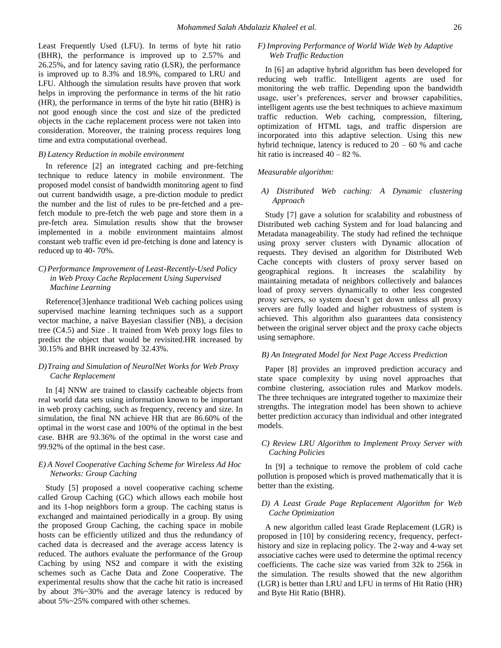Least Frequently Used (LFU). In terms of byte hit ratio (BHR), the performance is improved up to 2.57% and 26.25%, and for latency saving ratio (LSR), the performance is improved up to 8.3% and 18.9%, compared to LRU and LFU. Although the simulation results have proven that work helps in improving the performance in terms of the hit ratio (HR), the performance in terms of the byte hit ratio (BHR) is not good enough since the cost and size of the predicted objects in the cache replacement process were not taken into consideration. Moreover, the training process requires long time and extra computational overhead.

#### *B) Latency Reduction in mobile environment*

In reference [2] an integrated caching and pre-fetching technique to reduce latency in mobile environment. The proposed model consist of bandwidth monitoring agent to find out current bandwidth usage, a pre-diction module to predict the number and the list of rules to be pre-fetched and a prefetch module to pre-fetch the web page and store them in a pre-fetch area. Simulation results show that the browser implemented in a mobile environment maintains almost constant web traffic even id pre-fetching is done and latency is reduced up to 40- 70%.

# *C)Performance Improvement of Least-Recently-Used Policy in Web Proxy Cache Replacement Using Supervised Machine Learning*

Reference[3]enhance traditional Web caching polices using supervised machine learning techniques such as a support vector machine, a naïve Bayesian classifier (NB), a decision tree (C4.5) and Size . It trained from Web proxy logs files to predict the object that would be revisited.HR increased by 30.15% and BHR increased by 32.43%.

### *D)Traing and Simulation of NeuralNet Works for Web Proxy Cache Replacement*

In [4] NNW are trained to classify cacheable objects from real world data sets using information known to be important in web proxy caching, such as frequency, recency and size. In simulation, the final NN achieve HR that are 86.60% of the optimal in the worst case and 100% of the optimal in the best case. BHR are 93.36% of the optimal in the worst case and 99.92% of the optimal in the best case.

#### *E) A Novel Cooperative Caching Scheme for Wireless Ad Hoc Networks: Group Caching*

Study [5] proposed a novel cooperative caching scheme called Group Caching (GC) which allows each mobile host and its 1-hop neighbors form a group. The caching status is exchanged and maintained periodically in a group. By using the proposed Group Caching, the caching space in mobile hosts can be efficiently utilized and thus the redundancy of cached data is decreased and the average access latency is reduced. The authors evaluate the performance of the Group Caching by using NS2 and compare it with the existing schemes such as Cache Data and Zone Cooperative. The experimental results show that the cache hit ratio is increased by about 3%~30% and the average latency is reduced by about 5%~25% compared with other schemes.

## *F) Improving Performance of World Wide Web by Adaptive Web Traffic Reduction*

In [6] an adaptive hybrid algorithm has been developed for reducing web traffic. Intelligent agents are used for monitoring the web traffic. Depending upon the bandwidth usage, user's preferences, server and browser capabilities, intelligent agents use the best techniques to achieve maximum traffic reduction. Web caching, compression, filtering, optimization of HTML tags, and traffic dispersion are incorporated into this adaptive selection. Using this new hybrid technique, latency is reduced to  $20 - 60$  % and cache hit ratio is increased 40 – 82 %.

#### *Measurable algorithm:*

## *A) Distributed Web caching: A Dynamic clustering Approach*

Study [7] gave a solution for scalability and robustness of Distributed web caching System and for load balancing and Metadata manageability. The study had refined the technique using proxy server clusters with Dynamic allocation of requests. They devised an algorithm for Distributed Web Cache concepts with clusters of proxy server based on geographical regions. It increases the scalability by maintaining metadata of neighbors collectively and balances load of proxy servers dynamically to other less congested proxy servers, so system doesn't get down unless all proxy servers are fully loaded and higher robustness of system is achieved. This algorithm also guarantees data consistency between the original server object and the proxy cache objects using semaphore.

#### *B) An Integrated Model for Next Page Access Prediction*

Paper [8] provides an improved prediction accuracy and state space complexity by using novel approaches that combine clustering, association rules and Markov models. The three techniques are integrated together to maximize their strengths. The integration model has been shown to achieve better prediction accuracy than individual and other integrated models.

## *C) Review LRU Algorithm to Implement Proxy Server with Caching Policies*

In [9] a technique to remove the problem of cold cache pollution is proposed which is proved mathematically that it is better than the existing.

#### *D) A Least Grade Page Replacement Algorithm for Web Cache Optimization*

A new algorithm called least Grade Replacement (LGR) is proposed in [10] by considering recency, frequency, perfecthistory and size in replacing policy. The 2-way and 4-way set associative caches were used to determine the optimal recency coefficients. The cache size was varied from 32k to 256k in the simulation. The results showed that the new algorithm (LGR) is better than LRU and LFU in terms of Hit Ratio (HR) and Byte Hit Ratio (BHR).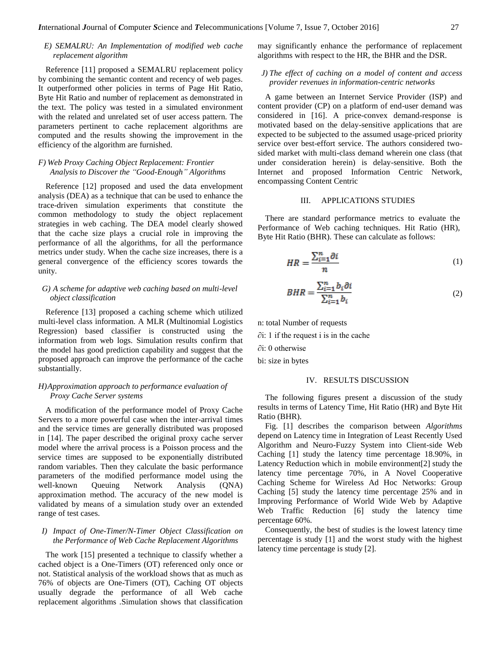# *E) SEMALRU: An Implementation of modified web cache replacement algorithm*

Reference [11] proposed a SEMALRU replacement policy by combining the semantic content and recency of web pages. It outperformed other policies in terms of Page Hit Ratio, Byte Hit Ratio and number of replacement as demonstrated in the text. The policy was tested in a simulated environment with the related and unrelated set of user access pattern. The parameters pertinent to cache replacement algorithms are computed and the results showing the improvement in the efficiency of the algorithm are furnished.

# *F) Web Proxy Caching Object Replacement: Frontier Analysis to Discover the "Good-Enough" Algorithms*

Reference [12] proposed and used the data envelopment analysis (DEA) as a technique that can be used to enhance the trace-driven simulation experiments that constitute the common methodology to study the object replacement strategies in web caching. The DEA model clearly showed that the cache size plays a crucial role in improving the performance of all the algorithms, for all the performance metrics under study. When the cache size increases, there is a general convergence of the efficiency scores towards the unity.

## *G) A scheme for adaptive web caching based on multi-level object classification*

Reference [13] proposed a caching scheme which utilized multi-level class information. A MLR (Multinomial Logistics Regression) based classifier is constructed using the information from web logs. Simulation results confirm that the model has good prediction capability and suggest that the proposed approach can improve the performance of the cache substantially.

#### *H)Approximation approach to performance evaluation of Proxy Cache Server systems*

A modification of the performance model of Proxy Cache Servers to a more powerful case when the inter-arrival times and the service times are generally distributed was proposed in [14]. The paper described the original proxy cache server model where the arrival process is a Poisson process and the service times are supposed to be exponentially distributed random variables. Then they calculate the basic performance parameters of the modified performance model using the well-known Queuing Network Analysis (QNA) approximation method. The accuracy of the new model is validated by means of a simulation study over an extended range of test cases.

## *I) Impact of One-Timer/N-Timer Object Classification on the Performance of Web Cache Replacement Algorithms*

The work [15] presented a technique to classify whether a cached object is a One-Timers (OT) referenced only once or not. Statistical analysis of the workload shows that as much as 76% of objects are One-Timers (OT), Caching OT objects usually degrade the performance of all Web cache replacement algorithms .Simulation shows that classification may significantly enhance the performance of replacement algorithms with respect to the HR, the BHR and the DSR.

## *J) The effect of caching on a model of content and access provider revenues in information-centric networks*

A game between an Internet Service Provider (ISP) and content provider (CP) on a platform of end-user demand was considered in [16]. A price-convex demand-response is motivated based on the delay-sensitive applications that are expected to be subjected to the assumed usage-priced priority service over best-effort service. The authors considered twosided market with multi-class demand wherein one class (that under consideration herein) is delay-sensitive. Both the Internet and proposed Information Centric Network, encompassing Content Centric

### III. APPLICATIONS STUDIES

There are standard performance metrics to evaluate the Performance of Web caching techniques. Hit Ratio (HR), Byte Hit Ratio (BHR). These can calculate as follows:

$$
HR = \frac{\sum_{i=1}^{n} \partial i}{n} \tag{1}
$$

$$
BHR = \frac{\sum_{i=1}^{n} b_i \partial i}{\sum_{i=1}^{n} b_i}
$$
 (2)

n: total Number of requests

∂i: 1 if the request i is in the cache

∂i: 0 otherwise

bi: size in bytes

#### IV. RESULTS DISCUSSION

The following figures present a discussion of the study results in terms of Latency Time, Hit Ratio (HR) and Byte Hit Ratio (BHR).

Fig. [1] describes the comparison between *Algorithms* depend on Latency time in Integration of Least Recently Used Algorithm and Neuro-Fuzzy System into Client-side Web Caching [1] study the latency time percentage 18.90%, in Latency Reduction which in mobile environment[2] study the latency time percentage 70%, in A Novel Cooperative Caching Scheme for Wireless Ad Hoc Networks: Group Caching [5] study the latency time percentage 25% and in Improving Performance of World Wide Web by Adaptive Web Traffic Reduction [6] study the latency time percentage 60%.

Consequently, the best of studies is the lowest latency time percentage is study [1] and the worst study with the highest latency time percentage is study [2].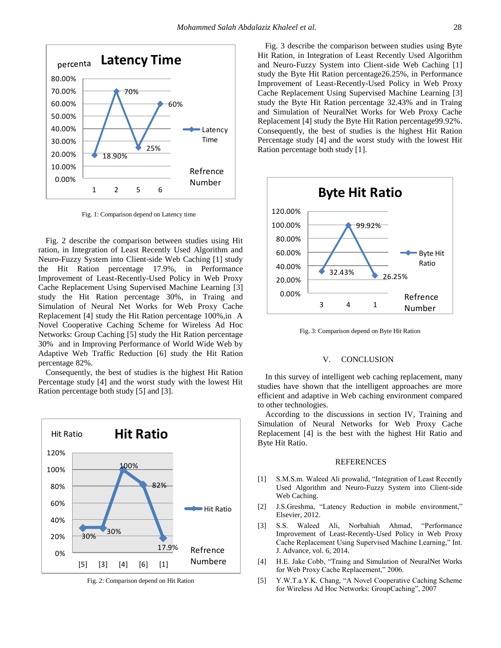

Fig. 1: Comparison depend on Latency time

Fig. 2 describe the comparison between studies using Hit ration, in Integration of Least Recently Used Algorithm and Neuro-Fuzzy System into Client-side Web Caching [1] study the Hit Ration percentage 17.9%, in Performance Improvement of Least-Recently-Used Policy in Web Proxy Cache Replacement Using Supervised Machine Learning [3] study the Hit Ration percentage 30%, in Traing and Simulation of Neural Net Works for Web Proxy Cache Replacement [4] study the Hit Ration percentage 100%,in A Novel Cooperative Caching Scheme for Wireless Ad Hoc Networks: Group Caching [5] study the Hit Ration percentage 30% and in Improving Performance of World Wide Web by Adaptive Web Traffic Reduction [6] study the Hit Ration percentage 82%.

Consequently, the best of studies is the highest Hit Ration Percentage study [4] and the worst study with the lowest Hit Ration percentage both study [5] and [3].



Fig. 2: Comparison depend on Hit Ration

Fig. 3 describe the comparison between studies using Byte Hit Ration, in Integration of Least Recently Used Algorithm and Neuro-Fuzzy System into Client-side Web Caching [1] study the Byte Hit Ration percentage26.25%, in Performance Improvement of Least-Recently-Used Policy in Web Proxy Cache Replacement Using Supervised Machine Learning [3] study the Byte Hit Ration percentage 32.43% and in Traing and Simulation of NeuralNet Works for Web Proxy Cache Replacement [4] study the Byte Hit Ration percentage99.92%. Consequently, the best of studies is the highest Hit Ration Percentage study [4] and the worst study with the lowest Hit Ration percentage both study [1].



Fig. 3: Comparison depend on Byte Hit Ration

## V.CONCLUSION

In this survey of intelligent web caching replacement, many studies have shown that the intelligent approaches are more efficient and adaptive in Web caching environment compared to other technologies.

According to the discussions in section IV, Training and Simulation of Neural Networks for Web Proxy Cache Replacement [4] is the best with the highest Hit Ratio and Byte Hit Ratio.

#### REFERENCES

- [1] S.M.S.m. Waleed Ali prowalid, "Integration of Least Recently Used Algorithm and Neuro-Fuzzy System into Client-side Web Caching.
- [2] J.S.Greshma, "Latency Reduction in mobile environment," Elsevier, 2012.
- [3] S.S. Waleed Ali, Norbahiah Ahmad, "Performance Improvement of Least-Recently-Used Policy in Web Proxy Cache Replacement Using Supervised Machine Learning," Int. J. Advance, vol. 6, 2014.
- [4] H.E. Jake Cobb, "Traing and Simulation of NeuralNet Works for Web Proxy Cache Replacement," 2006.
- [5] Y.W.T.a.Y.K. Chang, "A Novel Cooperative Caching Scheme for Wireless Ad Hoc Networks: GroupCaching", 2007